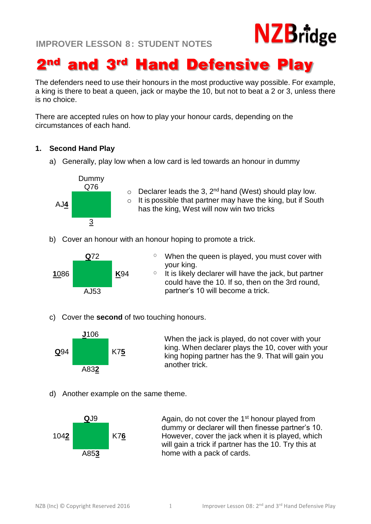# **NZB**ridge

# 2<sup>nd</sup> and 3<sup>rd</sup> Hand Defensive Play

The defenders need to use their honours in the most productive way possible. For example, a king is there to beat a queen, jack or maybe the 10, but not to beat a 2 or 3, unless there is no choice.

There are accepted rules on how to play your honour cards, depending on the circumstances of each hand.

## **1. Second Hand Play**

a) Generally, play low when a low card is led towards an honour in dummy



- $\circ$  Declarer leads the 3, 2<sup>nd</sup> hand (West) should play low.
- $\circ$  It is possible that partner may have the king, but if South AJ<sup>4</sup> has the king, West will now win two tricks
- b) Cover an honour with an honour hoping to promote a trick.



- **Q**72 **O** When the queen is played, you must cover with your king.
	- $\circ$  It is likely declarer will have the jack, but partner could have the 10. If so, then on the 3rd round, partner's 10 will become a trick.
- c) Cover the **second** of two touching honours.



**J**106 When the jack is played, do not cover with your king. When declarer plays the 10, cover with your king hoping partner has the 9. That will gain you another trick.

d) Another example on the same theme.



**Q**J9 Again, do not cover the 1<sup>st</sup> honour played from dummy or declarer will then finesse partner's 10. However, cover the jack when it is played, which will gain a trick if partner has the 10. Try this at home with a pack of cards.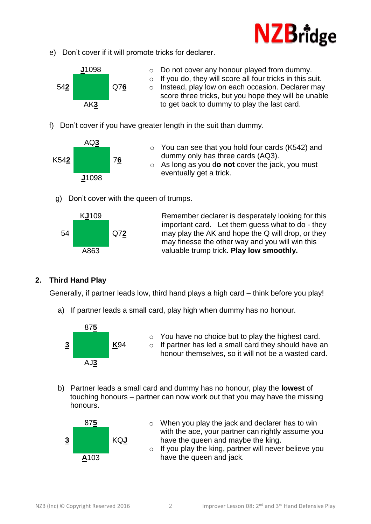

e) Don't cover if it will promote tricks for declarer.



- **J**1098 o Do not cover any honour played from dummy. o If you do, they will score all four tricks in this suit. o Instead, play low on each occasion. Declarer may score three tricks, but you hope they will be unable to get back to dummy to play the last card.
- f) Don't cover if you have greater length in the suit than dummy.



- o You can see that you hold four cards (K542) and dummy only has three cards (AQ3).
- o As long as you d**o not** cover the jack, you must eventually get a trick.
- g) Don't cover with the queen of trumps.



K**J**109 Remember declarer is desperately looking for this important card. Let them guess what to do - they may play the AK and hope the Q will drop, or they may finesse the other way and you will win this valuable trump trick. **Play low smoothly.**

# **2. Third Hand Play**

Generally, if partner leads low, third hand plays a high card – think before you play!

a) If partner leads a small card, play high when dummy has no honour.



- o You have no choice but to play the highest card.
- o If partner has led a small card they should have an honour themselves, so it will not be a wasted card.
- b) Partner leads a small card and dummy has no honour, play the **lowest** of touching honours – partner can now work out that you may have the missing honours.



- 875 **b** o When you play the jack and declarer has to win with the ace, your partner can rightly assume you have the queen and maybe the king.
	- o If you play the king, partner will never believe you have the queen and jack.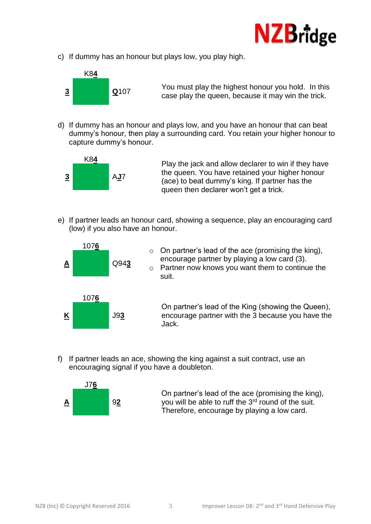

c) If dummy has an honour but plays low, you play high.



You must play the highest honour you hold. In this case play the queen, because it may win the trick. **<sup>3</sup> <sup>Q</sup>**<sup>107</sup>

d) If dummy has an honour and plays low, and you have an honour that can beat dummy's honour, then play a surrounding card. You retain your higher honour to capture dummy's honour.



Play the jack and allow declarer to win if they have the queen. You have retained your higher honour (ace) to beat dummy's king. If partner has the queen then declarer won't get a trick.

e) If partner leads an honour card, showing a sequence, play an encouraging card (low) if you also have an honour.



 $\circ$  On partner's lead of the ace (promising the king), encourage partner by playing a low card (3).

o Partner now knows you want them to continue the suit.

On partner's lead of the King (showing the Queen), encourage partner with the 3 because you have the Jack.

f) If partner leads an ace, showing the king against a suit contract, use an encouraging signal if you have a doubleton.



On partner's lead of the ace (promising the king), you will be able to ruff the 3<sup>rd</sup> round of the suit. Therefore, encourage by playing a low card.